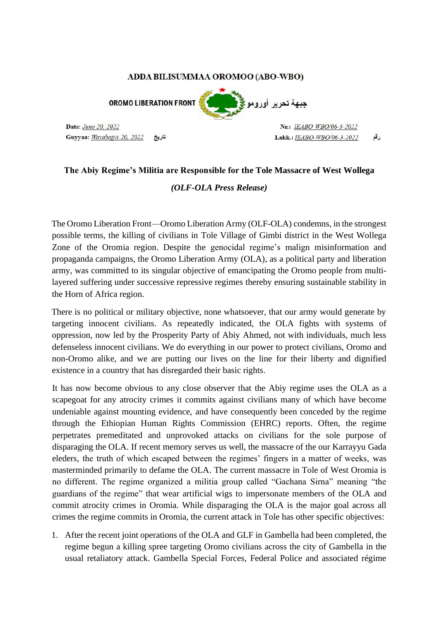## ADDA BILISUMMAA OROMOO (ABO-WBO)

**OROMO LIBERATION FRONT** 

Date: June 20, 2022 Guyyaa: Waxabajjii 20, 2022 تاريخ



Nr.: IEABO WBO/06-3-2022 رقع Lakk.: IEABO-WBO/06-3-2022

## **The Abiy Regime's Militia are Responsible for the Tole Massacre of West Wollega**

*(OLF-OLA Press Release)* 

The Oromo Liberation Front—Oromo Liberation Army (OLF-OLA) condemns, in the strongest possible terms, the killing of civilians in Tole Village of Gimbi district in the West Wollega Zone of the Oromia region. Despite the genocidal regime's malign misinformation and propaganda campaigns, the Oromo Liberation Army (OLA), as a political party and liberation army, was committed to its singular objective of emancipating the Oromo people from multilayered suffering under successive repressive regimes thereby ensuring sustainable stability in the Horn of Africa region.

There is no political or military objective, none whatsoever, that our army would generate by targeting innocent civilians. As repeatedly indicated, the OLA fights with systems of oppression, now led by the Prosperity Party of Abiy Ahmed, not with individuals, much less defenseless innocent civilians. We do everything in our power to protect civilians, Oromo and non-Oromo alike, and we are putting our lives on the line for their liberty and dignified existence in a country that has disregarded their basic rights.

It has now become obvious to any close observer that the Abiy regime uses the OLA as a scapegoat for any atrocity crimes it commits against civilians many of which have become undeniable against mounting evidence, and have consequently been conceded by the regime through the Ethiopian Human Rights Commission (EHRC) reports. Often, the regime perpetrates premeditated and unprovoked attacks on civilians for the sole purpose of disparaging the OLA. If recent memory serves us well, the massacre of the our Karrayyu Gada eleders, the truth of which escaped between the regimes' fingers in a matter of weeks, was masterminded primarily to defame the OLA. The current massacre in Tole of West Oromia is no different. The regime organized a militia group called "Gachana Sirna" meaning "the guardians of the regime" that wear artificial wigs to impersonate members of the OLA and commit atrocity crimes in Oromia. While disparaging the OLA is the major goal across all crimes the regime commits in Oromia, the current attack in Tole has other specific objectives:

1. After the recent joint operations of the OLA and GLF in Gambella had been completed, the regime begun a killing spree targeting Oromo civilians across the city of Gambella in the usual retaliatory attack. Gambella Special Forces, Federal Police and associated régime